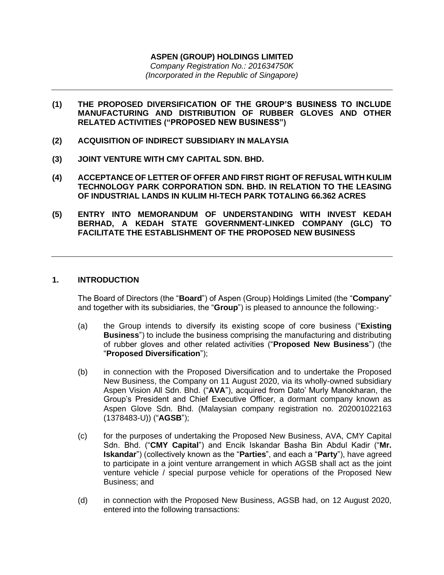# **ASPEN (GROUP) HOLDINGS LIMITED**

*Company Registration No.: 201634750K (Incorporated in the Republic of Singapore)*

- **(1) THE PROPOSED DIVERSIFICATION OF THE GROUP'S BUSINESS TO INCLUDE MANUFACTURING AND DISTRIBUTION OF RUBBER GLOVES AND OTHER RELATED ACTIVITIES ("PROPOSED NEW BUSINESS")**
- **(2) ACQUISITION OF INDIRECT SUBSIDIARY IN MALAYSIA**
- **(3) JOINT VENTURE WITH CMY CAPITAL SDN. BHD.**
- **(4) ACCEPTANCE OF LETTER OF OFFER AND FIRST RIGHT OF REFUSAL WITH KULIM TECHNOLOGY PARK CORPORATION SDN. BHD. IN RELATION TO THE LEASING OF INDUSTRIAL LANDS IN KULIM HI-TECH PARK TOTALING 66.362 ACRES**
- **(5) ENTRY INTO MEMORANDUM OF UNDERSTANDING WITH INVEST KEDAH BERHAD, A KEDAH STATE GOVERNMENT-LINKED COMPANY (GLC) TO FACILITATE THE ESTABLISHMENT OF THE PROPOSED NEW BUSINESS**

### **1. INTRODUCTION**

The Board of Directors (the "**Board**") of Aspen (Group) Holdings Limited (the "**Company**" and together with its subsidiaries, the "**Group**") is pleased to announce the following:-

- (a) the Group intends to diversify its existing scope of core business ("**Existing Business**") to include the business comprising the manufacturing and distributing of rubber gloves and other related activities ("**Proposed New Business**") (the "**Proposed Diversification**");
- (b) in connection with the Proposed Diversification and to undertake the Proposed New Business, the Company on 11 August 2020, via its wholly-owned subsidiary Aspen Vision All Sdn. Bhd. ("**AVA**"), acquired from Dato' Murly Manokharan, the Group's President and Chief Executive Officer, a dormant company known as Aspen Glove Sdn. Bhd. (Malaysian company registration no. 202001022163 (1378483-U)) ("**AGSB**");
- (c) for the purposes of undertaking the Proposed New Business, AVA, CMY Capital Sdn. Bhd. ("**CMY Capital**") and Encik Iskandar Basha Bin Abdul Kadir ("**Mr. Iskandar**") (collectively known as the "**Parties**", and each a "**Party**"), have agreed to participate in a joint venture arrangement in which AGSB shall act as the joint venture vehicle / special purpose vehicle for operations of the Proposed New Business; and
- (d) in connection with the Proposed New Business, AGSB had, on 12 August 2020, entered into the following transactions: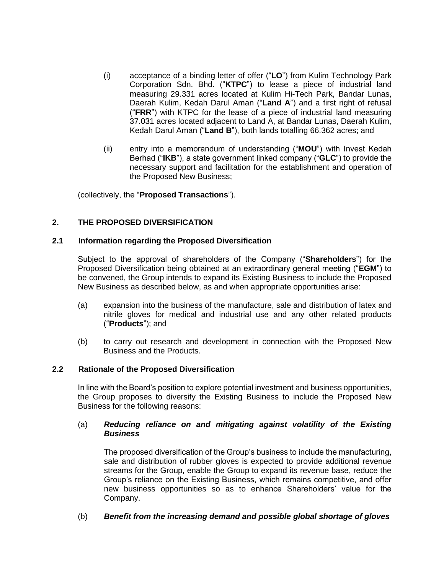- (i) acceptance of a binding letter of offer ("**LO**") from Kulim Technology Park Corporation Sdn. Bhd. ("**KTPC**") to lease a piece of industrial land measuring 29.331 acres located at Kulim Hi-Tech Park, Bandar Lunas, Daerah Kulim, Kedah Darul Aman ("**Land A**") and a first right of refusal ("**FRR**") with KTPC for the lease of a piece of industrial land measuring 37.031 acres located adjacent to Land A, at Bandar Lunas, Daerah Kulim, Kedah Darul Aman ("**Land B**"), both lands totalling 66.362 acres; and
- (ii) entry into a memorandum of understanding ("**MOU**") with Invest Kedah Berhad ("**IKB**"), a state government linked company ("**GLC**") to provide the necessary support and facilitation for the establishment and operation of the Proposed New Business;

(collectively, the "**Proposed Transactions**").

# **2. THE PROPOSED DIVERSIFICATION**

#### **2.1 Information regarding the Proposed Diversification**

Subject to the approval of shareholders of the Company ("**Shareholders**") for the Proposed Diversification being obtained at an extraordinary general meeting ("**EGM**") to be convened, the Group intends to expand its Existing Business to include the Proposed New Business as described below, as and when appropriate opportunities arise:

- (a) expansion into the business of the manufacture, sale and distribution of latex and nitrile gloves for medical and industrial use and any other related products ("**Products**"); and
- (b) to carry out research and development in connection with the Proposed New Business and the Products.

#### **2.2 Rationale of the Proposed Diversification**

In line with the Board's position to explore potential investment and business opportunities, the Group proposes to diversify the Existing Business to include the Proposed New Business for the following reasons:

### (a) *Reducing reliance on and mitigating against volatility of the Existing Business*

The proposed diversification of the Group's business to include the manufacturing, sale and distribution of rubber gloves is expected to provide additional revenue streams for the Group, enable the Group to expand its revenue base, reduce the Group's reliance on the Existing Business, which remains competitive, and offer new business opportunities so as to enhance Shareholders' value for the Company.

#### (b) *Benefit from the increasing demand and possible global shortage of gloves*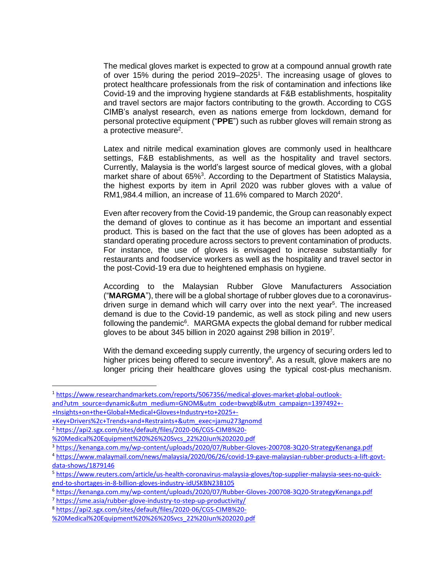The medical gloves market is expected to grow at a compound annual growth rate of over 15% during the period 2019–2025<sup>1</sup>. The increasing usage of gloves to protect healthcare professionals from the risk of contamination and infections like Covid-19 and the improving hygiene standards at F&B establishments, hospitality and travel sectors are major factors contributing to the growth. According to CGS CIMB's analyst research, even as nations emerge from lockdown, demand for personal protective equipment ("**PPE**") such as rubber gloves will remain strong as a protective measure<sup>2</sup>.

Latex and nitrile medical examination gloves are commonly used in healthcare settings, F&B establishments, as well as the hospitality and travel sectors. Currently, Malaysia is the world's largest source of medical gloves, with a global market share of about 65%<sup>3</sup>. According to the Department of Statistics Malaysia, the highest exports by item in April 2020 was rubber gloves with a value of RM1,984.4 million, an increase of 11.6% compared to March 2020<sup>4</sup>.

Even after recovery from the Covid-19 pandemic, the Group can reasonably expect the demand of gloves to continue as it has become an important and essential product. This is based on the fact that the use of gloves has been adopted as a standard operating procedure across sectors to prevent contamination of products. For instance, the use of gloves is envisaged to increase substantially for restaurants and foodservice workers as well as the hospitality and travel sector in the post-Covid-19 era due to heightened emphasis on hygiene.

According to the Malaysian Rubber Glove Manufacturers Association ("**MARGMA**"), there will be a global shortage of rubber gloves due to a coronavirusdriven surge in demand which will carry over into the next year<sup>5</sup>. The increased demand is due to the Covid-19 pandemic, as well as stock piling and new users following the pandemic $6$ . MARGMA expects the global demand for rubber medical gloves to be about 345 billion in 2020 against 298 billion in 2019<sup>7</sup>.

With the demand exceeding supply currently, the urgency of securing orders led to higher prices being offered to secure inventory<sup>8</sup>. As a result, glove makers are no longer pricing their healthcare gloves using the typical cost-plus mechanism.

[+Key+Drivers%2c+Trends+and+Restraints+&utm\\_exec=jamu273gnomd](https://www.researchandmarkets.com/reports/5067356/medical-gloves-market-global-outlook-and?utm_source=dynamic&utm_medium=GNOM&utm_code=bwvgbl&utm_campaign=1397492+-+Insights+on+the+Global+Medical+Gloves+Industry+to+2025+-+Key+Drivers%2c+Trends+and+Restraints+&utm_exec=jamu273gnomd)

<sup>1</sup> [https://www.researchandmarkets.com/reports/5067356/medical-gloves-market-global-outlook](https://www.researchandmarkets.com/reports/5067356/medical-gloves-market-global-outlook-and?utm_source=dynamic&utm_medium=GNOM&utm_code=bwvgbl&utm_campaign=1397492+-+Insights+on+the+Global+Medical+Gloves+Industry+to+2025+-+Key+Drivers%2c+Trends+and+Restraints+&utm_exec=jamu273gnomd)[and?utm\\_source=dynamic&utm\\_medium=GNOM&utm\\_code=bwvgbl&utm\\_campaign=1397492+-](https://www.researchandmarkets.com/reports/5067356/medical-gloves-market-global-outlook-and?utm_source=dynamic&utm_medium=GNOM&utm_code=bwvgbl&utm_campaign=1397492+-+Insights+on+the+Global+Medical+Gloves+Industry+to+2025+-+Key+Drivers%2c+Trends+and+Restraints+&utm_exec=jamu273gnomd) [+Insights+on+the+Global+Medical+Gloves+Industry+to+2025+-](https://www.researchandmarkets.com/reports/5067356/medical-gloves-market-global-outlook-and?utm_source=dynamic&utm_medium=GNOM&utm_code=bwvgbl&utm_campaign=1397492+-+Insights+on+the+Global+Medical+Gloves+Industry+to+2025+-+Key+Drivers%2c+Trends+and+Restraints+&utm_exec=jamu273gnomd)

<sup>2</sup> [https://api2.sgx.com/sites/default/files/2020-06/CGS-CIMB%20-](https://api2.sgx.com/sites/default/files/2020-06/CGS-CIMB%20-%20Medical%20Equipment%20%26%20Svcs_22%20Jun%202020.pdf)

[<sup>%20</sup>Medical%20Equipment%20%26%20Svcs\\_22%20Jun%202020.pdf](https://api2.sgx.com/sites/default/files/2020-06/CGS-CIMB%20-%20Medical%20Equipment%20%26%20Svcs_22%20Jun%202020.pdf)

<sup>3</sup> <https://kenanga.com.my/wp-content/uploads/2020/07/Rubber-Gloves-200708-3Q20-StrategyKenanga.pdf>

<sup>4</sup> [https://www.malaymail.com/news/malaysia/2020/06/26/covid-19-gave-malaysian-rubber-products-a-lift-govt](https://www.malaymail.com/news/malaysia/2020/06/26/covid-19-gave-malaysian-rubber-products-a-lift-govt-data-shows/1879146)[data-shows/1879146](https://www.malaymail.com/news/malaysia/2020/06/26/covid-19-gave-malaysian-rubber-products-a-lift-govt-data-shows/1879146)

<sup>5</sup> [https://www.reuters.com/article/us-health-coronavirus-malaysia-gloves/top-supplier-malaysia-sees-no-quick](https://www.reuters.com/article/us-health-coronavirus-malaysia-gloves/top-supplier-malaysia-sees-no-quick-end-to-shortages-in-8-billion-gloves-industry-idUSKBN23B105)[end-to-shortages-in-8-billion-gloves-industry-idUSKBN23B105](https://www.reuters.com/article/us-health-coronavirus-malaysia-gloves/top-supplier-malaysia-sees-no-quick-end-to-shortages-in-8-billion-gloves-industry-idUSKBN23B105)

<sup>6</sup> <https://kenanga.com.my/wp-content/uploads/2020/07/Rubber-Gloves-200708-3Q20-StrategyKenanga.pdf>

<sup>7</sup> <https://sme.asia/rubber-glove-industry-to-step-up-productivity/>

<sup>8</sup> [https://api2.sgx.com/sites/default/files/2020-06/CGS-CIMB%20-](https://api2.sgx.com/sites/default/files/2020-06/CGS-CIMB%20-%20Medical%20Equipment%20%26%20Svcs_22%20Jun%202020.pdf)

[<sup>%20</sup>Medical%20Equipment%20%26%20Svcs\\_22%20Jun%202020.pdf](https://api2.sgx.com/sites/default/files/2020-06/CGS-CIMB%20-%20Medical%20Equipment%20%26%20Svcs_22%20Jun%202020.pdf)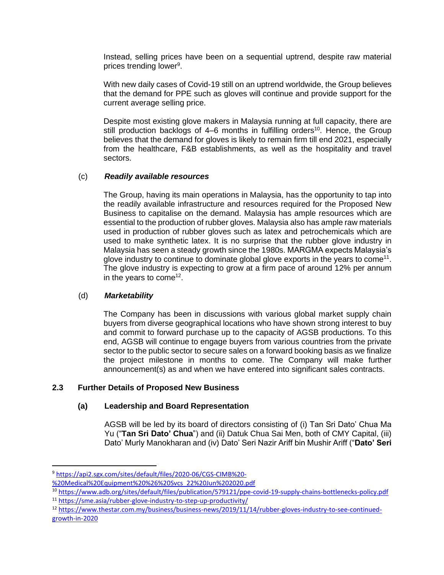Instead, selling prices have been on a sequential uptrend, despite raw material prices trending lower<sup>9</sup>.

With new daily cases of Covid-19 still on an uptrend worldwide, the Group believes that the demand for PPE such as gloves will continue and provide support for the current average selling price.

Despite most existing glove makers in Malaysia running at full capacity, there are still production backlogs of 4–6 months in fulfilling orders<sup>10</sup>. Hence, the Group believes that the demand for gloves is likely to remain firm till end 2021, especially from the healthcare, F&B establishments, as well as the hospitality and travel sectors.

# (c) *Readily available resources*

The Group, having its main operations in Malaysia, has the opportunity to tap into the readily available infrastructure and resources required for the Proposed New Business to capitalise on the demand. Malaysia has ample resources which are essential to the production of rubber gloves. Malaysia also has ample raw materials used in production of rubber gloves such as latex and petrochemicals which are used to make synthetic latex. It is no surprise that the rubber glove industry in Malaysia has seen a steady growth since the 1980s. MARGMA expects Malaysia's glove industry to continue to dominate global glove exports in the years to come<sup>11</sup>. The glove industry is expecting to grow at a firm pace of around 12% per annum in the years to come<sup>12</sup>.

# (d) *Marketability*

The Company has been in discussions with various global market supply chain buyers from diverse geographical locations who have shown strong interest to buy and commit to forward purchase up to the capacity of AGSB productions. To this end, AGSB will continue to engage buyers from various countries from the private sector to the public sector to secure sales on a forward booking basis as we finalize the project milestone in months to come. The Company will make further announcement(s) as and when we have entered into significant sales contracts.

# **2.3 Further Details of Proposed New Business**

# **(a) Leadership and Board Representation**

AGSB will be led by its board of directors consisting of (i) Tan Sri Dato' Chua Ma Yu ("**Tan Sri Dato' Chua**") and (ii) Datuk Chua Sai Men, both of CMY Capital, (iii) Dato' Murly Manokharan and (iv) Dato' Seri Nazir Ariff bin Mushir Ariff ("**Dato' Seri** 

<sup>9</sup> [https://api2.sgx.com/sites/default/files/2020-06/CGS-CIMB%20-](https://api2.sgx.com/sites/default/files/2020-06/CGS-CIMB%20-%20Medical%20Equipment%20%26%20Svcs_22%20Jun%202020.pdf)

[<sup>%20</sup>Medical%20Equipment%20%26%20Svcs\\_22%20Jun%202020.pdf](https://api2.sgx.com/sites/default/files/2020-06/CGS-CIMB%20-%20Medical%20Equipment%20%26%20Svcs_22%20Jun%202020.pdf)

<sup>10</sup> <https://www.adb.org/sites/default/files/publication/579121/ppe-covid-19-supply-chains-bottlenecks-policy.pdf> <sup>11</sup> <https://sme.asia/rubber-glove-industry-to-step-up-productivity/>

<sup>12</sup> [https://www.thestar.com.my/business/business-news/2019/11/14/rubber-gloves-industry-to-see-continued](https://www.thestar.com.my/business/business-news/2019/11/14/rubber-gloves-industry-to-see-continued-growth-in-2020)[growth-in-2020](https://www.thestar.com.my/business/business-news/2019/11/14/rubber-gloves-industry-to-see-continued-growth-in-2020)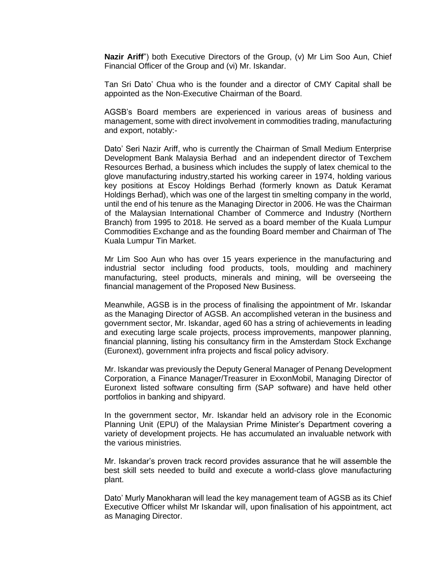**Nazir Ariff**") both Executive Directors of the Group, (v) Mr Lim Soo Aun, Chief Financial Officer of the Group and (vi) Mr. Iskandar.

Tan Sri Dato' Chua who is the founder and a director of CMY Capital shall be appointed as the Non-Executive Chairman of the Board.

AGSB's Board members are experienced in various areas of business and management, some with direct involvement in commodities trading, manufacturing and export, notably:-

Dato' Seri Nazir Ariff, who is currently the Chairman of Small Medium Enterprise Development Bank Malaysia Berhad and an independent director of Texchem Resources Berhad, a business which includes the supply of latex chemical to the glove manufacturing industry,started his working career in 1974, holding various key positions at Escoy Holdings Berhad (formerly known as Datuk Keramat Holdings Berhad), which was one of the largest tin smelting company in the world, until the end of his tenure as the Managing Director in 2006. He was the Chairman of the Malaysian International Chamber of Commerce and Industry (Northern Branch) from 1995 to 2018. He served as a board member of the Kuala Lumpur Commodities Exchange and as the founding Board member and Chairman of The Kuala Lumpur Tin Market.

Mr Lim Soo Aun who has over 15 years experience in the manufacturing and industrial sector including food products, tools, moulding and machinery manufacturing, steel products, minerals and mining, will be overseeing the financial management of the Proposed New Business.

Meanwhile, AGSB is in the process of finalising the appointment of Mr. Iskandar as the Managing Director of AGSB. An accomplished veteran in the business and government sector, Mr. Iskandar, aged 60 has a string of achievements in leading and executing large scale projects, process improvements, manpower planning, financial planning, listing his consultancy firm in the Amsterdam Stock Exchange (Euronext), government infra projects and fiscal policy advisory.

Mr. Iskandar was previously the Deputy General Manager of Penang Development Corporation, a Finance Manager/Treasurer in ExxonMobil, Managing Director of Euronext listed software consulting firm (SAP software) and have held other portfolios in banking and shipyard.

In the government sector, Mr. Iskandar held an advisory role in the Economic Planning Unit (EPU) of the Malaysian Prime Minister's Department covering a variety of development projects. He has accumulated an invaluable network with the various ministries.

Mr. Iskandar's proven track record provides assurance that he will assemble the best skill sets needed to build and execute a world-class glove manufacturing plant.

Dato' Murly Manokharan will lead the key management team of AGSB as its Chief Executive Officer whilst Mr Iskandar will, upon finalisation of his appointment, act as Managing Director.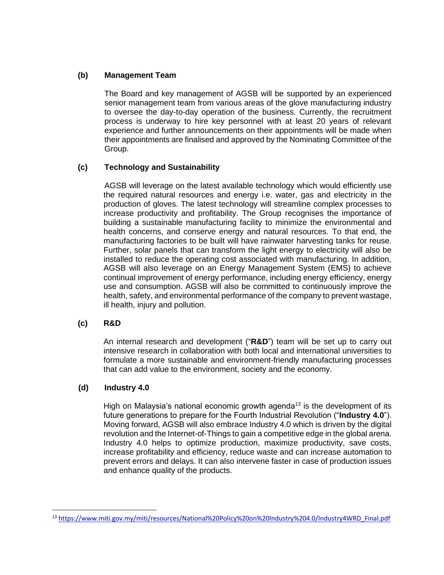# **(b) Management Team**

The Board and key management of AGSB will be supported by an experienced senior management team from various areas of the glove manufacturing industry to oversee the day-to-day operation of the business. Currently, the recruitment process is underway to hire key personnel with at least 20 years of relevant experience and further announcements on their appointments will be made when their appointments are finalised and approved by the Nominating Committee of the Group.

# **(c) Technology and Sustainability**

AGSB will leverage on the latest available technology which would efficiently use the required natural resources and energy i.e. water, gas and electricity in the production of gloves. The latest technology will streamline complex processes to increase productivity and profitability. The Group recognises the importance of building a sustainable manufacturing facility to minimize the environmental and health concerns, and conserve energy and natural resources. To that end, the manufacturing factories to be built will have rainwater harvesting tanks for reuse. Further, solar panels that can transform the light energy to electricity will also be installed to reduce the operating cost associated with manufacturing. In addition, AGSB will also leverage on an Energy Management System (EMS) to achieve continual improvement of energy performance, including energy efficiency, energy use and consumption. AGSB will also be committed to continuously improve the health, safety, and environmental performance of the company to prevent wastage, ill health, injury and pollution.

# **(c) R&D**

An internal research and development ("**R&D**") team will be set up to carry out intensive research in collaboration with both local and international universities to formulate a more sustainable and environment-friendly manufacturing processes that can add value to the environment, society and the economy.

# **(d) Industry 4.0**

High on Malaysia's national economic growth agenda<sup>13</sup> is the development of its future generations to prepare for the Fourth Industrial Revolution ("**Industry 4.0**"). Moving forward, AGSB will also embrace Industry 4.0 which is driven by the digital revolution and the Internet-of-Things to gain a competitive edge in the global arena. Industry 4.0 helps to optimize production, maximize productivity, save costs, increase profitability and efficiency, reduce waste and can increase automation to prevent errors and delays. It can also intervene faster in case of production issues and enhance quality of the products.

<sup>13</sup> [https://www.miti.gov.my/miti/resources/National%20Policy%20on%20Industry%204.0/Industry4WRD\\_Final.pdf](https://www.miti.gov.my/miti/resources/National%20Policy%20on%20Industry%204.0/Industry4WRD_Final.pdf)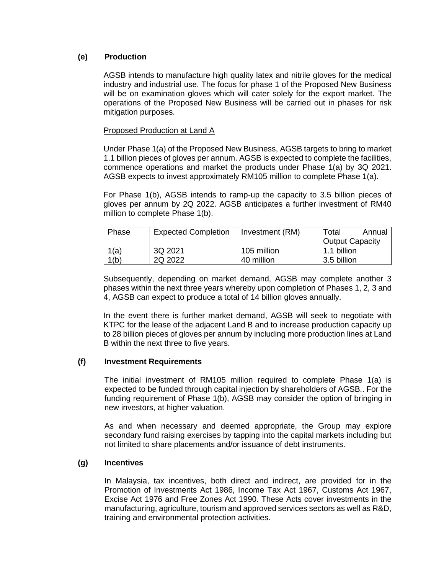# **(e) Production**

AGSB intends to manufacture high quality latex and nitrile gloves for the medical industry and industrial use. The focus for phase 1 of the Proposed New Business will be on examination gloves which will cater solely for the export market. The operations of the Proposed New Business will be carried out in phases for risk mitigation purposes.

### Proposed Production at Land A

Under Phase 1(a) of the Proposed New Business, AGSB targets to bring to market 1.1 billion pieces of gloves per annum. AGSB is expected to complete the facilities, commence operations and market the products under Phase 1(a) by 3Q 2021. AGSB expects to invest approximately RM105 million to complete Phase 1(a).

For Phase 1(b), AGSB intends to ramp-up the capacity to 3.5 billion pieces of gloves per annum by 2Q 2022. AGSB anticipates a further investment of RM40 million to complete Phase 1(b).

| Phase | <b>Expected Completion</b> | Investment (RM) | Total                  | Annual |
|-------|----------------------------|-----------------|------------------------|--------|
|       |                            |                 | <b>Output Capacity</b> |        |
| 1(a)  | 3Q 2021                    | 105 million     | 1.1 billion            |        |
| 1(b)  | 2Q 2022                    | 40 million      | 3.5 billion            |        |

Subsequently, depending on market demand, AGSB may complete another 3 phases within the next three years whereby upon completion of Phases 1, 2, 3 and 4, AGSB can expect to produce a total of 14 billion gloves annually.

In the event there is further market demand, AGSB will seek to negotiate with KTPC for the lease of the adjacent Land B and to increase production capacity up to 28 billion pieces of gloves per annum by including more production lines at Land B within the next three to five years.

# **(f) Investment Requirements**

The initial investment of RM105 million required to complete Phase 1(a) is expected to be funded through capital injection by shareholders of AGSB.. For the funding requirement of Phase 1(b), AGSB may consider the option of bringing in new investors, at higher valuation.

As and when necessary and deemed appropriate, the Group may explore secondary fund raising exercises by tapping into the capital markets including but not limited to share placements and/or issuance of debt instruments.

# **(g) Incentives**

In Malaysia, tax incentives, both direct and indirect, are provided for in the Promotion of Investments Act 1986, Income Tax Act 1967, Customs Act 1967, Excise Act 1976 and Free Zones Act 1990. These Acts cover investments in the manufacturing, agriculture, tourism and approved services sectors as well as R&D, training and environmental protection activities.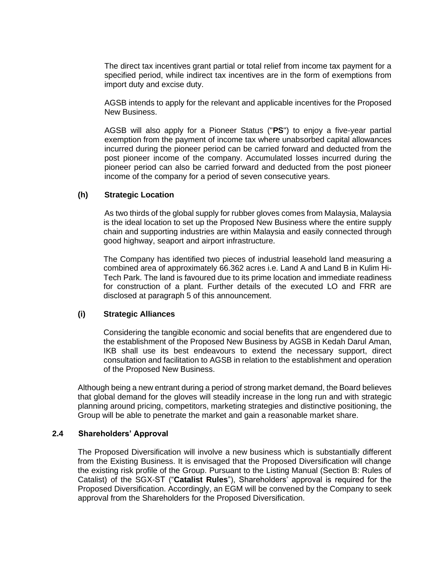The direct tax incentives grant partial or total relief from income tax payment for a specified period, while indirect tax incentives are in the form of exemptions from import duty and excise duty.

AGSB intends to apply for the relevant and applicable incentives for the Proposed New Business.

AGSB will also apply for a Pioneer Status ("**PS**") to enjoy a five-year partial exemption from the payment of income tax where unabsorbed capital allowances incurred during the pioneer period can be carried forward and deducted from the post pioneer income of the company. Accumulated losses incurred during the pioneer period can also be carried forward and deducted from the post pioneer income of the company for a period of seven consecutive years.

#### **(h) Strategic Location**

As two thirds of the global supply for rubber gloves comes from Malaysia, Malaysia is the ideal location to set up the Proposed New Business where the entire supply chain and supporting industries are within Malaysia and easily connected through good highway, seaport and airport infrastructure.

The Company has identified two pieces of industrial leasehold land measuring a combined area of approximately 66.362 acres i.e. Land A and Land B in Kulim Hi-Tech Park. The land is favoured due to its prime location and immediate readiness for construction of a plant. Further details of the executed LO and FRR are disclosed at paragraph 5 of this announcement.

#### **(i) Strategic Alliances**

Considering the tangible economic and social benefits that are engendered due to the establishment of the Proposed New Business by AGSB in Kedah Darul Aman, IKB shall use its best endeavours to extend the necessary support, direct consultation and facilitation to AGSB in relation to the establishment and operation of the Proposed New Business.

Although being a new entrant during a period of strong market demand, the Board believes that global demand for the gloves will steadily increase in the long run and with strategic planning around pricing, competitors, marketing strategies and distinctive positioning, the Group will be able to penetrate the market and gain a reasonable market share.

#### **2.4 Shareholders' Approval**

The Proposed Diversification will involve a new business which is substantially different from the Existing Business. It is envisaged that the Proposed Diversification will change the existing risk profile of the Group. Pursuant to the Listing Manual (Section B: Rules of Catalist) of the SGX-ST ("**Catalist Rules**"), Shareholders' approval is required for the Proposed Diversification. Accordingly, an EGM will be convened by the Company to seek approval from the Shareholders for the Proposed Diversification.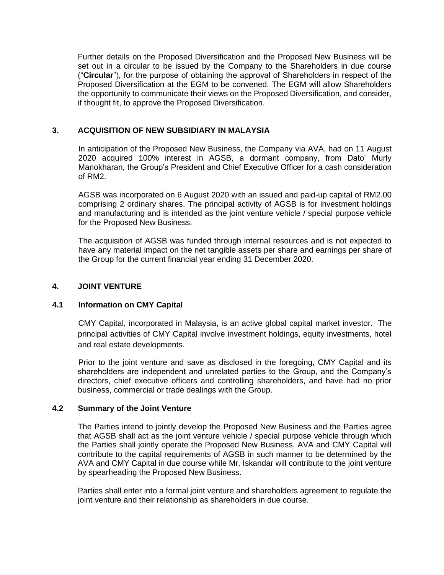Further details on the Proposed Diversification and the Proposed New Business will be set out in a circular to be issued by the Company to the Shareholders in due course ("**Circular**"), for the purpose of obtaining the approval of Shareholders in respect of the Proposed Diversification at the EGM to be convened. The EGM will allow Shareholders the opportunity to communicate their views on the Proposed Diversification, and consider, if thought fit, to approve the Proposed Diversification.

### **3. ACQUISITION OF NEW SUBSIDIARY IN MALAYSIA**

In anticipation of the Proposed New Business, the Company via AVA, had on 11 August 2020 acquired 100% interest in AGSB, a dormant company, from Dato' Murly Manokharan, the Group's President and Chief Executive Officer for a cash consideration of RM2.

AGSB was incorporated on 6 August 2020 with an issued and paid-up capital of RM2.00 comprising 2 ordinary shares. The principal activity of AGSB is for investment holdings and manufacturing and is intended as the joint venture vehicle / special purpose vehicle for the Proposed New Business.

The acquisition of AGSB was funded through internal resources and is not expected to have any material impact on the net tangible assets per share and earnings per share of the Group for the current financial year ending 31 December 2020.

# **4. JOINT VENTURE**

#### **4.1 Information on CMY Capital**

CMY Capital, incorporated in Malaysia, is an active global capital market investor. The principal activities of CMY Capital involve investment holdings, equity investments, hotel and real estate developments.

Prior to the joint venture and save as disclosed in the foregoing, CMY Capital and its shareholders are independent and unrelated parties to the Group, and the Company's directors, chief executive officers and controlling shareholders, and have had no prior business, commercial or trade dealings with the Group.

#### **4.2 Summary of the Joint Venture**

The Parties intend to jointly develop the Proposed New Business and the Parties agree that AGSB shall act as the joint venture vehicle / special purpose vehicle through which the Parties shall jointly operate the Proposed New Business. AVA and CMY Capital will contribute to the capital requirements of AGSB in such manner to be determined by the AVA and CMY Capital in due course while Mr. Iskandar will contribute to the joint venture by spearheading the Proposed New Business.

Parties shall enter into a formal joint venture and shareholders agreement to regulate the joint venture and their relationship as shareholders in due course.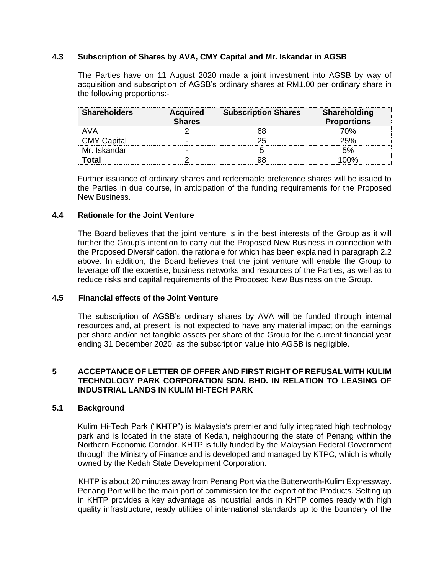### **4.3 Subscription of Shares by AVA, CMY Capital and Mr. Iskandar in AGSB**

The Parties have on 11 August 2020 made a joint investment into AGSB by way of acquisition and subscription of AGSB's ordinary shares at RM1.00 per ordinary share in the following proportions:-

| <b>Shareholders</b> | <b>Acquired</b><br><b>Shares</b> | <b>Subscription Shares</b> | <b>Shareholding</b><br><b>Proportions</b> |
|---------------------|----------------------------------|----------------------------|-------------------------------------------|
| AVA                 |                                  |                            | 'በ%                                       |
| <b>CMY Capital</b>  |                                  |                            | 25%                                       |
| Mr. Iskandar        |                                  |                            |                                           |
|                     |                                  |                            |                                           |

Further issuance of ordinary shares and redeemable preference shares will be issued to the Parties in due course, in anticipation of the funding requirements for the Proposed New Business.

### **4.4 Rationale for the Joint Venture**

The Board believes that the joint venture is in the best interests of the Group as it will further the Group's intention to carry out the Proposed New Business in connection with the Proposed Diversification, the rationale for which has been explained in paragraph 2.2 above. In addition, the Board believes that the joint venture will enable the Group to leverage off the expertise, business networks and resources of the Parties, as well as to reduce risks and capital requirements of the Proposed New Business on the Group.

#### **4.5 Financial effects of the Joint Venture**

The subscription of AGSB's ordinary shares by AVA will be funded through internal resources and, at present, is not expected to have any material impact on the earnings per share and/or net tangible assets per share of the Group for the current financial year ending 31 December 2020, as the subscription value into AGSB is negligible.

### **5 ACCEPTANCE OF LETTER OF OFFER AND FIRST RIGHT OF REFUSAL WITH KULIM TECHNOLOGY PARK CORPORATION SDN. BHD. IN RELATION TO LEASING OF INDUSTRIAL LANDS IN KULIM HI-TECH PARK**

#### **5.1 Background**

Kulim Hi-Tech Park ("**KHTP**") is Malaysia's premier and fully integrated high technology park and is located in the state of Kedah, neighbouring the state of Penang within the Northern Economic Corridor. KHTP is fully funded by the Malaysian Federal Government through the Ministry of Finance and is developed and managed by KTPC, which is wholly owned by the Kedah State Development Corporation.

KHTP is about 20 minutes away from Penang Port via the Butterworth-Kulim Expressway. Penang Port will be the main port of commission for the export of the Products. Setting up in KHTP provides a key advantage as industrial lands in KHTP comes ready with high quality infrastructure, ready utilities of international standards up to the boundary of the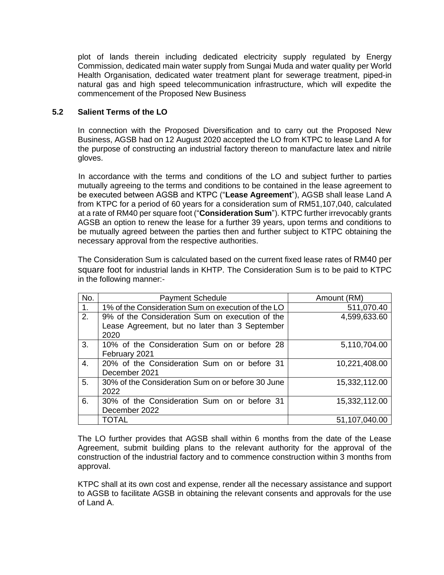plot of lands therein including dedicated electricity supply regulated by Energy Commission, dedicated main water supply from Sungai Muda and water quality per World Health Organisation, dedicated water treatment plant for sewerage treatment, piped-in natural gas and high speed telecommunication infrastructure, which will expedite the commencement of the Proposed New Business

# **5.2 Salient Terms of the LO**

In connection with the Proposed Diversification and to carry out the Proposed New Business, AGSB had on 12 August 2020 accepted the LO from KTPC to lease Land A for the purpose of constructing an industrial factory thereon to manufacture latex and nitrile gloves.

In accordance with the terms and conditions of the LO and subject further to parties mutually agreeing to the terms and conditions to be contained in the lease agreement to be executed between AGSB and KTPC ("**Lease Agreement**"), AGSB shall lease Land A from KTPC for a period of 60 years for a consideration sum of RM51,107,040, calculated at a rate of RM40 per square foot ("**Consideration Sum**"). KTPC further irrevocably grants AGSB an option to renew the lease for a further 39 years, upon terms and conditions to be mutually agreed between the parties then and further subject to KTPC obtaining the necessary approval from the respective authorities.

The Consideration Sum is calculated based on the current fixed lease rates of RM40 per square foot for industrial lands in KHTP. The Consideration Sum is to be paid to KTPC in the following manner:-

| No. | <b>Payment Schedule</b>                                                                                   | Amount (RM)   |
|-----|-----------------------------------------------------------------------------------------------------------|---------------|
| 1.  | 1% of the Consideration Sum on execution of the LO                                                        | 511,070.40    |
| 2.  | 9% of the Consideration Sum on execution of the<br>Lease Agreement, but no later than 3 September<br>2020 | 4,599,633.60  |
| 3.  | 10% of the Consideration Sum on or before 28<br>February 2021                                             | 5,110,704.00  |
| 4.  | 20% of the Consideration Sum on or before 31<br>December 2021                                             | 10,221,408.00 |
| 5.  | 30% of the Consideration Sum on or before 30 June<br>2022                                                 | 15,332,112.00 |
| 6.  | 30% of the Consideration Sum on or before 31<br>December 2022                                             | 15,332,112.00 |
|     | TOTAL                                                                                                     | 51,107,040.00 |

The LO further provides that AGSB shall within 6 months from the date of the Lease Agreement, submit building plans to the relevant authority for the approval of the construction of the industrial factory and to commence construction within 3 months from approval.

KTPC shall at its own cost and expense, render all the necessary assistance and support to AGSB to facilitate AGSB in obtaining the relevant consents and approvals for the use of Land A.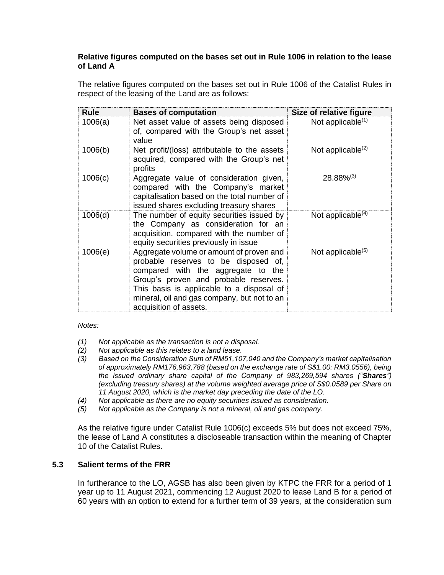# **Relative figures computed on the bases set out in Rule 1006 in relation to the lease of Land A**

The relative figures computed on the bases set out in Rule 1006 of the Catalist Rules in respect of the leasing of the Land are as follows:

| <b>Rule</b> | <b>Bases of computation</b>                                                                                                                                                                                                                                                           | Size of relative figure       |
|-------------|---------------------------------------------------------------------------------------------------------------------------------------------------------------------------------------------------------------------------------------------------------------------------------------|-------------------------------|
| 1006(a)     | Net asset value of assets being disposed<br>of, compared with the Group's net asset<br>value                                                                                                                                                                                          | Not applicable $(1)$          |
| 1006(b)     | Net profit/(loss) attributable to the assets<br>acquired, compared with the Group's net<br>profits                                                                                                                                                                                    | Not applicable $(2)$          |
| 1006(c)     | Aggregate value of consideration given,<br>compared with the Company's market<br>capitalisation based on the total number of<br>issued shares excluding treasury shares                                                                                                               | $28.88\%^{(3)}$               |
| 1006(d)     | The number of equity securities issued by<br>the Company as consideration for an<br>acquisition, compared with the number of<br>equity securities previously in issue                                                                                                                 | Not applicable $(4)$          |
| 1006(e)     | Aggregate volume or amount of proven and<br>probable reserves to be disposed of,<br>compared with the aggregate to the<br>Group's proven and probable reserves.<br>This basis is applicable to a disposal of<br>mineral, oil and gas company, but not to an<br>acquisition of assets. | Not applicable <sup>(5)</sup> |

#### *Notes:*

- *(1) Not applicable as the transaction is not a disposal.*
- *(2) Not applicable as this relates to a land lease.*
- *(3) Based on the Consideration Sum of RM51,107,040 and the Company's market capitalisation of approximately RM176,963,788 (based on the exchange rate of S\$1.00: RM3.0556), being the issued ordinary share capital of the Company of 983,269,594 shares ("Shares") (excluding treasury shares) at the volume weighted average price of S\$0.0589 per Share on 11 August 2020, which is the market day preceding the date of the LO.*
- *(4) Not applicable as there are no equity securities issued as consideration.*
- *(5) Not applicable as the Company is not a mineral, oil and gas company.*

As the relative figure under Catalist Rule 1006(c) exceeds 5% but does not exceed 75%, the lease of Land A constitutes a discloseable transaction within the meaning of Chapter 10 of the Catalist Rules.

# **5.3 Salient terms of the FRR**

In furtherance to the LO, AGSB has also been given by KTPC the FRR for a period of 1 year up to 11 August 2021, commencing 12 August 2020 to lease Land B for a period of 60 years with an option to extend for a further term of 39 years, at the consideration sum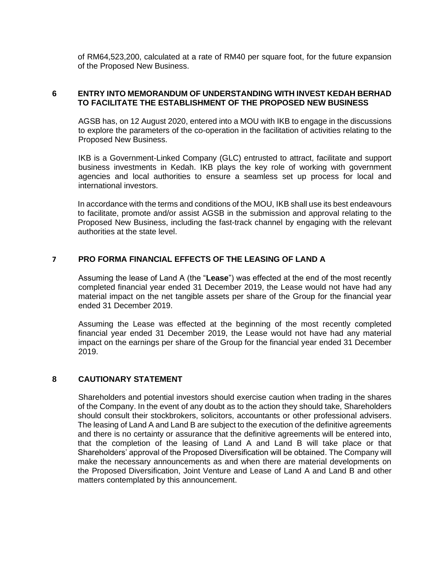of RM64,523,200, calculated at a rate of RM40 per square foot, for the future expansion of the Proposed New Business.

#### **6 ENTRY INTO MEMORANDUM OF UNDERSTANDING WITH INVEST KEDAH BERHAD TO FACILITATE THE ESTABLISHMENT OF THE PROPOSED NEW BUSINESS**

AGSB has, on 12 August 2020, entered into a MOU with IKB to engage in the discussions to explore the parameters of the co-operation in the facilitation of activities relating to the Proposed New Business.

IKB is a Government-Linked Company (GLC) entrusted to attract, facilitate and support business investments in Kedah. IKB plays the key role of working with government agencies and local authorities to ensure a seamless set up process for local and international investors.

In accordance with the terms and conditions of the MOU, IKB shall use its best endeavours to facilitate, promote and/or assist AGSB in the submission and approval relating to the Proposed New Business, including the fast-track channel by engaging with the relevant authorities at the state level.

### **7 PRO FORMA FINANCIAL EFFECTS OF THE LEASING OF LAND A**

Assuming the lease of Land A (the "**Lease**") was effected at the end of the most recently completed financial year ended 31 December 2019, the Lease would not have had any material impact on the net tangible assets per share of the Group for the financial year ended 31 December 2019.

Assuming the Lease was effected at the beginning of the most recently completed financial year ended 31 December 2019, the Lease would not have had any material impact on the earnings per share of the Group for the financial year ended 31 December 2019.

#### **8 CAUTIONARY STATEMENT**

Shareholders and potential investors should exercise caution when trading in the shares of the Company. In the event of any doubt as to the action they should take, Shareholders should consult their stockbrokers, solicitors, accountants or other professional advisers. The leasing of Land A and Land B are subject to the execution of the definitive agreements and there is no certainty or assurance that the definitive agreements will be entered into, that the completion of the leasing of Land A and Land B will take place or that Shareholders' approval of the Proposed Diversification will be obtained. The Company will make the necessary announcements as and when there are material developments on the Proposed Diversification, Joint Venture and Lease of Land A and Land B and other matters contemplated by this announcement.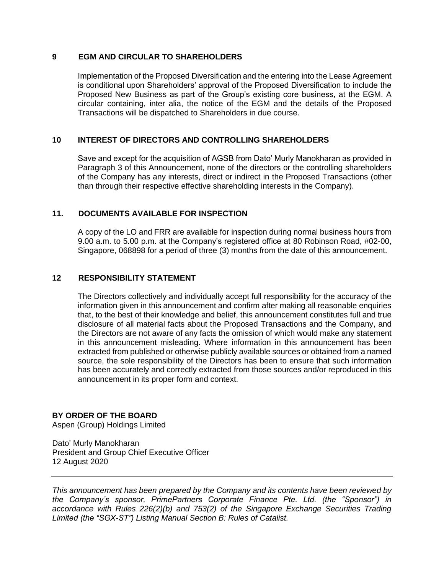# **9 EGM AND CIRCULAR TO SHAREHOLDERS**

Implementation of the Proposed Diversification and the entering into the Lease Agreement is conditional upon Shareholders' approval of the Proposed Diversification to include the Proposed New Business as part of the Group's existing core business, at the EGM. A circular containing, inter alia, the notice of the EGM and the details of the Proposed Transactions will be dispatched to Shareholders in due course.

### **10 INTEREST OF DIRECTORS AND CONTROLLING SHAREHOLDERS**

Save and except for the acquisition of AGSB from Dato' Murly Manokharan as provided in Paragraph 3 of this Announcement, none of the directors or the controlling shareholders of the Company has any interests, direct or indirect in the Proposed Transactions (other than through their respective effective shareholding interests in the Company).

### **11. DOCUMENTS AVAILABLE FOR INSPECTION**

A copy of the LO and FRR are available for inspection during normal business hours from 9.00 a.m. to 5.00 p.m. at the Company's registered office at 80 Robinson Road, #02-00, Singapore, 068898 for a period of three (3) months from the date of this announcement.

### **12 RESPONSIBILITY STATEMENT**

The Directors collectively and individually accept full responsibility for the accuracy of the information given in this announcement and confirm after making all reasonable enquiries that, to the best of their knowledge and belief, this announcement constitutes full and true disclosure of all material facts about the Proposed Transactions and the Company, and the Directors are not aware of any facts the omission of which would make any statement in this announcement misleading. Where information in this announcement has been extracted from published or otherwise publicly available sources or obtained from a named source, the sole responsibility of the Directors has been to ensure that such information has been accurately and correctly extracted from those sources and/or reproduced in this announcement in its proper form and context.

# **BY ORDER OF THE BOARD**

Aspen (Group) Holdings Limited

Dato' Murly Manokharan President and Group Chief Executive Officer 12 August 2020

*This announcement has been prepared by the Company and its contents have been reviewed by the Company's sponsor, PrimePartners Corporate Finance Pte. Ltd. (the "Sponsor") in accordance with Rules 226(2)(b) and 753(2) of the Singapore Exchange Securities Trading Limited (the "SGX-ST") Listing Manual Section B: Rules of Catalist.*